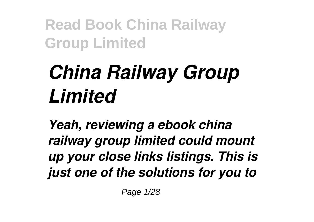# *China Railway Group Limited*

*Yeah, reviewing a ebook china railway group limited could mount up your close links listings. This is just one of the solutions for you to*

Page 1/28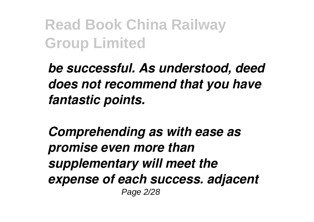*be successful. As understood, deed does not recommend that you have fantastic points.*

*Comprehending as with ease as promise even more than supplementary will meet the expense of each success. adjacent* Page 2/28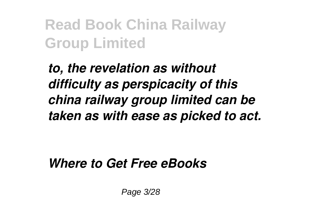*to, the revelation as without difficulty as perspicacity of this china railway group limited can be taken as with ease as picked to act.*

*Where to Get Free eBooks*

Page 3/28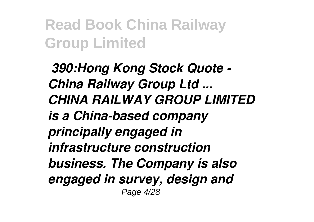*390:Hong Kong Stock Quote - China Railway Group Ltd ... CHINA RAILWAY GROUP LIMITED is a China-based company principally engaged in infrastructure construction business. The Company is also engaged in survey, design and* Page 4/28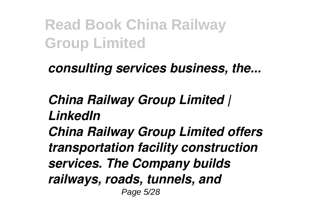#### *consulting services business, the...*

#### *China Railway Group Limited | LinkedIn*

*China Railway Group Limited offers transportation facility construction services. The Company builds railways, roads, tunnels, and* Page 5/28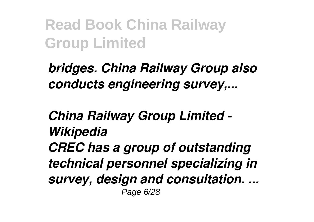*bridges. China Railway Group also conducts engineering survey,...*

*China Railway Group Limited - Wikipedia CREC has a group of outstanding technical personnel specializing in survey, design and consultation. ...* Page 6/28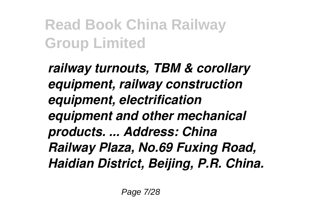*railway turnouts, TBM & corollary equipment, railway construction equipment, electrification equipment and other mechanical products. ... Address: China Railway Plaza, No.69 Fuxing Road, Haidian District, Beijing, P.R. China.*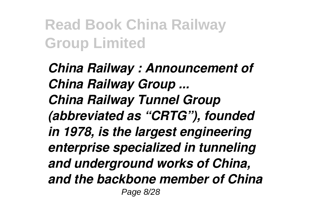*China Railway : Announcement of China Railway Group ... China Railway Tunnel Group (abbreviated as "CRTG"), founded in 1978, is the largest engineering enterprise specialized in tunneling and underground works of China, and the backbone member of China* Page 8/28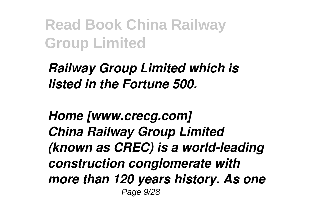*Railway Group Limited which is listed in the Fortune 500.*

*Home [www.crecg.com] China Railway Group Limited (known as CREC) is a world-leading construction conglomerate with more than 120 years history. As one* Page 9/28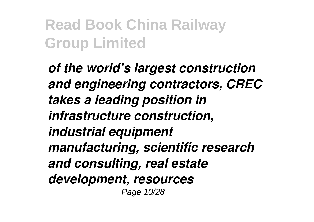*of the world's largest construction and engineering contractors, CREC takes a leading position in infrastructure construction, industrial equipment manufacturing, scientific research and consulting, real estate development, resources* Page 10/28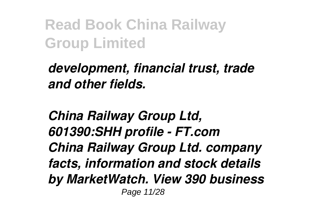*development, financial trust, trade and other fields.*

*China Railway Group Ltd, 601390:SHH profile - FT.com China Railway Group Ltd. company facts, information and stock details by MarketWatch. View 390 business* Page 11/28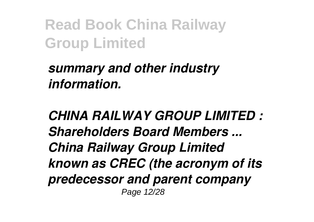*summary and other industry information.*

*CHINA RAILWAY GROUP LIMITED : Shareholders Board Members ... China Railway Group Limited known as CREC (the acronym of its predecessor and parent company* Page 12/28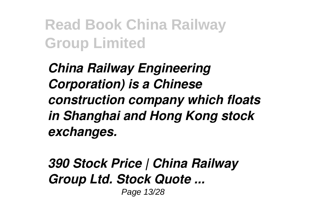*China Railway Engineering Corporation) is a Chinese construction company which floats in Shanghai and Hong Kong stock exchanges.*

*390 Stock Price | China Railway Group Ltd. Stock Quote ...* Page 13/28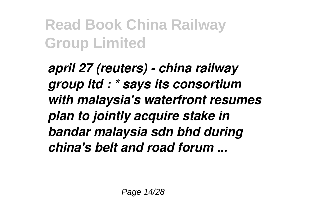*april 27 (reuters) - china railway group ltd : \* says its consortium with malaysia's waterfront resumes plan to jointly acquire stake in bandar malaysia sdn bhd during china's belt and road forum ...*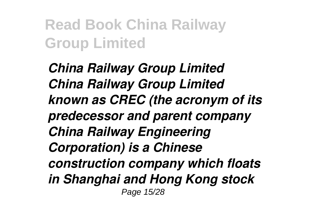*China Railway Group Limited China Railway Group Limited known as CREC (the acronym of its predecessor and parent company China Railway Engineering Corporation) is a Chinese construction company which floats in Shanghai and Hong Kong stock* Page 15/28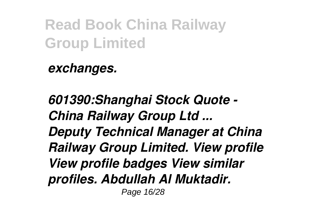*exchanges.*

*601390:Shanghai Stock Quote - China Railway Group Ltd ... Deputy Technical Manager at China Railway Group Limited. View profile View profile badges View similar profiles. Abdullah Al Muktadir.* Page 16/28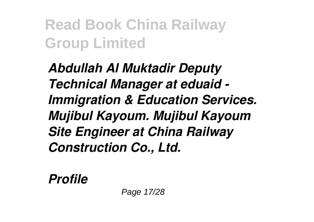*Abdullah Al Muktadir Deputy Technical Manager at eduaid - Immigration & Education Services. Mujibul Kayoum. Mujibul Kayoum Site Engineer at China Railway Construction Co., Ltd.*

*Profile*

Page 17/28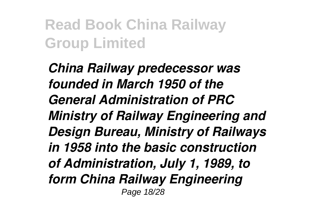*China Railway predecessor was founded in March 1950 of the General Administration of PRC Ministry of Railway Engineering and Design Bureau, Ministry of Railways in 1958 into the basic construction of Administration, July 1, 1989, to form China Railway Engineering* Page 18/28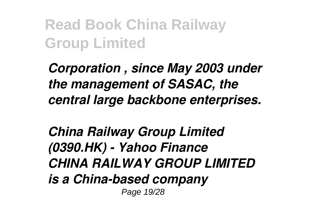*Corporation , since May 2003 under the management of SASAC, the central large backbone enterprises.*

*China Railway Group Limited (0390.HK) - Yahoo Finance CHINA RAILWAY GROUP LIMITED is a China-based company* Page 19/28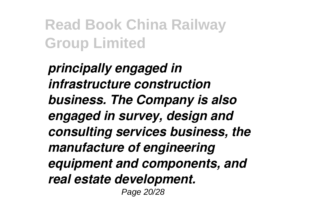*principally engaged in infrastructure construction business. The Company is also engaged in survey, design and consulting services business, the manufacture of engineering equipment and components, and real estate development.* Page 20/28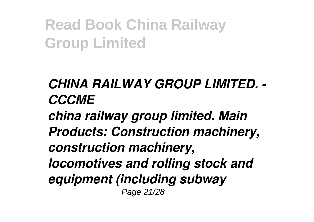#### *CHINA RAILWAY GROUP LIMITED. - CCCME*

*china railway group limited. Main Products: Construction machinery, construction machinery, locomotives and rolling stock and equipment (including subway* Page 21/28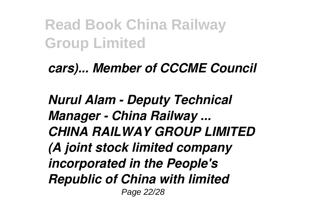*cars)... Member of CCCME Council*

*Nurul Alam - Deputy Technical Manager - China Railway ... CHINA RAILWAY GROUP LIMITED (A joint stock limited company incorporated in the People's Republic of China with limited* Page 22/28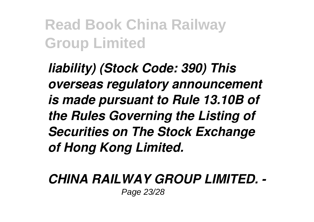*liability) (Stock Code: 390) This overseas regulatory announcement is made pursuant to Rule 13.10B of the Rules Governing the Listing of Securities on The Stock Exchange of Hong Kong Limited.*

#### *CHINA RAILWAY GROUP LIMITED. -* Page 23/28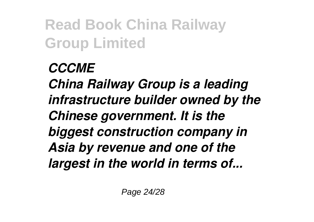#### *CCCME*

*China Railway Group is a leading infrastructure builder owned by the Chinese government. It is the biggest construction company in Asia by revenue and one of the largest in the world in terms of...*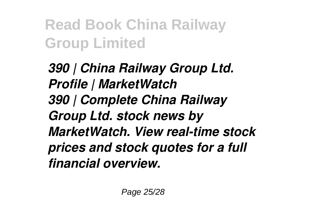*390 | China Railway Group Ltd. Profile | MarketWatch 390 | Complete China Railway Group Ltd. stock news by MarketWatch. View real-time stock prices and stock quotes for a full financial overview.*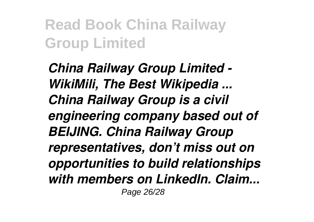*China Railway Group Limited - WikiMili, The Best Wikipedia ... China Railway Group is a civil engineering company based out of BEIJING. China Railway Group representatives, don't miss out on opportunities to build relationships with members on LinkedIn. Claim...* Page 26/28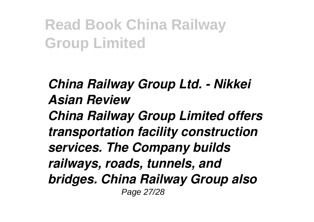*China Railway Group Ltd. - Nikkei Asian Review China Railway Group Limited offers transportation facility construction services. The Company builds railways, roads, tunnels, and bridges. China Railway Group also* Page 27/28